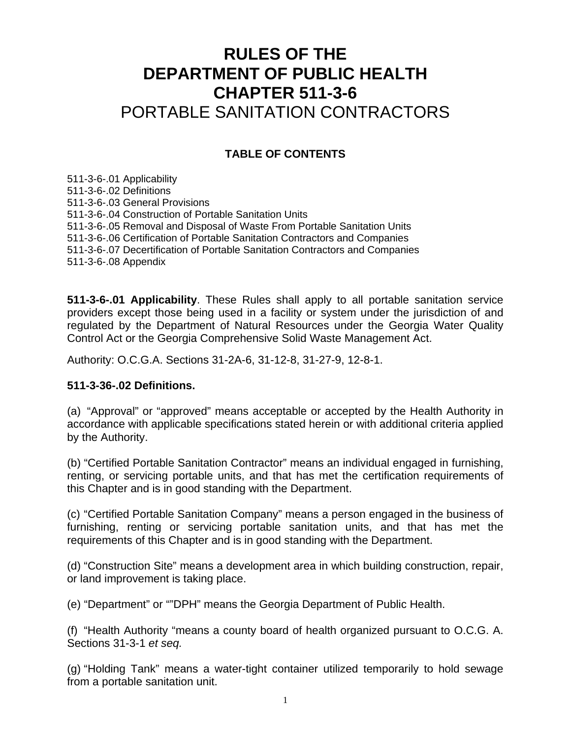# **RULES OF THE DEPARTMENT OF PUBLIC HEALTH CHAPTER 511-3-6**  PORTABLE SANITATION CONTRACTORS

## **TABLE OF CONTENTS**

511-3-6-.01 Applicability 511-3-6-.02 Definitions 511-3-6-.03 General Provisions 511-3-6-.04 Construction of Portable Sanitation Units 511-3-6-.05 Removal and Disposal of Waste From Portable Sanitation Units 511-3-6-.06 Certification of Portable Sanitation Contractors and Companies 511-3-6-.07 Decertification of Portable Sanitation Contractors and Companies 511-3-6-.08 Appendix

**511-3-6-.01 Applicability**. These Rules shall apply to all portable sanitation service providers except those being used in a facility or system under the jurisdiction of and regulated by the Department of Natural Resources under the Georgia Water Quality Control Act or the Georgia Comprehensive Solid Waste Management Act.

Authority: O.C.G.A. Sections 31-2A-6, 31-12-8, 31-27-9, 12-8-1.

#### **511-3-36-.02 Definitions.**

(a) "Approval" or "approved" means acceptable or accepted by the Health Authority in accordance with applicable specifications stated herein or with additional criteria applied by the Authority.

(b) "Certified Portable Sanitation Contractor" means an individual engaged in furnishing, renting, or servicing portable units, and that has met the certification requirements of this Chapter and is in good standing with the Department.

(c) "Certified Portable Sanitation Company" means a person engaged in the business of furnishing, renting or servicing portable sanitation units, and that has met the requirements of this Chapter and is in good standing with the Department.

(d) "Construction Site" means a development area in which building construction, repair, or land improvement is taking place.

(e) "Department" or ""DPH" means the Georgia Department of Public Health.

(f) "Health Authority "means a county board of health organized pursuant to O.C.G. A. Sections 31-3-1 *et seq.*

(g) "Holding Tank" means a water-tight container utilized temporarily to hold sewage from a portable sanitation unit.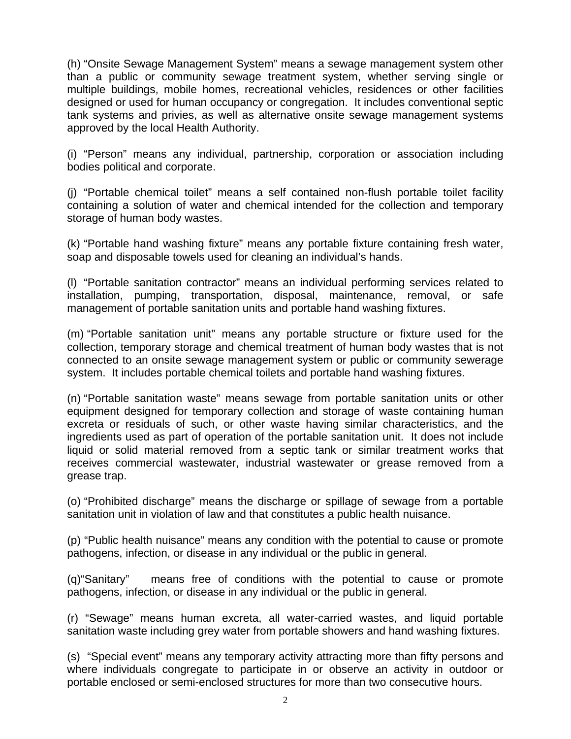(h) "Onsite Sewage Management System" means a sewage management system other than a public or community sewage treatment system, whether serving single or multiple buildings, mobile homes, recreational vehicles, residences or other facilities designed or used for human occupancy or congregation. It includes conventional septic tank systems and privies, as well as alternative onsite sewage management systems approved by the local Health Authority.

(i) "Person" means any individual, partnership, corporation or association including bodies political and corporate.

(j) "Portable chemical toilet" means a self contained non-flush portable toilet facility containing a solution of water and chemical intended for the collection and temporary storage of human body wastes.

(k) "Portable hand washing fixture" means any portable fixture containing fresh water, soap and disposable towels used for cleaning an individual's hands.

(l) "Portable sanitation contractor" means an individual performing services related to installation, pumping, transportation, disposal, maintenance, removal, or safe management of portable sanitation units and portable hand washing fixtures.

(m) "Portable sanitation unit" means any portable structure or fixture used for the collection, temporary storage and chemical treatment of human body wastes that is not connected to an onsite sewage management system or public or community sewerage system. It includes portable chemical toilets and portable hand washing fixtures.

(n) "Portable sanitation waste" means sewage from portable sanitation units or other equipment designed for temporary collection and storage of waste containing human excreta or residuals of such, or other waste having similar characteristics, and the ingredients used as part of operation of the portable sanitation unit. It does not include liquid or solid material removed from a septic tank or similar treatment works that receives commercial wastewater, industrial wastewater or grease removed from a grease trap.

(o) "Prohibited discharge" means the discharge or spillage of sewage from a portable sanitation unit in violation of law and that constitutes a public health nuisance.

(p) "Public health nuisance" means any condition with the potential to cause or promote pathogens, infection, or disease in any individual or the public in general.

(q)"Sanitary" means free of conditions with the potential to cause or promote pathogens, infection, or disease in any individual or the public in general.

(r) "Sewage" means human excreta, all water-carried wastes, and liquid portable sanitation waste including grey water from portable showers and hand washing fixtures.

(s) "Special event" means any temporary activity attracting more than fifty persons and where individuals congregate to participate in or observe an activity in outdoor or portable enclosed or semi-enclosed structures for more than two consecutive hours.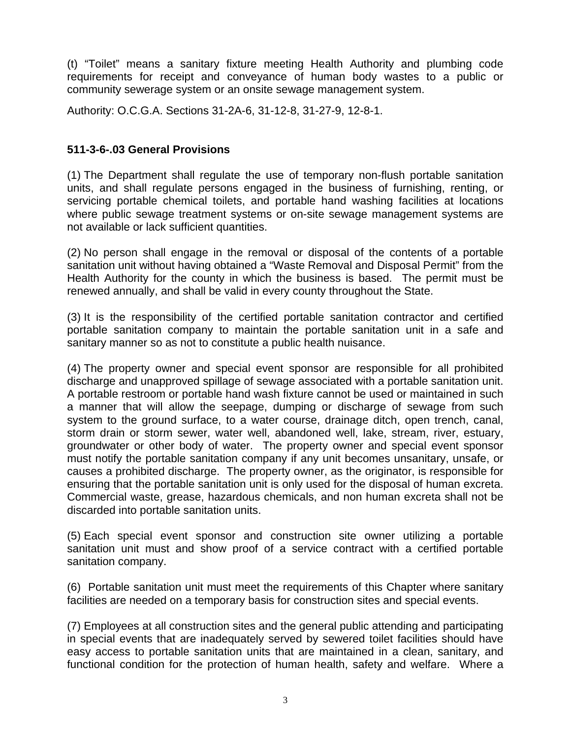(t) "Toilet" means a sanitary fixture meeting Health Authority and plumbing code requirements for receipt and conveyance of human body wastes to a public or community sewerage system or an onsite sewage management system.

Authority: O.C.G.A. Sections 31-2A-6, 31-12-8, 31-27-9, 12-8-1.

## **511-3-6-.03 General Provisions**

(1) The Department shall regulate the use of temporary non-flush portable sanitation units, and shall regulate persons engaged in the business of furnishing, renting, or servicing portable chemical toilets, and portable hand washing facilities at locations where public sewage treatment systems or on-site sewage management systems are not available or lack sufficient quantities.

(2) No person shall engage in the removal or disposal of the contents of a portable sanitation unit without having obtained a "Waste Removal and Disposal Permit" from the Health Authority for the county in which the business is based. The permit must be renewed annually, and shall be valid in every county throughout the State.

(3) It is the responsibility of the certified portable sanitation contractor and certified portable sanitation company to maintain the portable sanitation unit in a safe and sanitary manner so as not to constitute a public health nuisance.

(4) The property owner and special event sponsor are responsible for all prohibited discharge and unapproved spillage of sewage associated with a portable sanitation unit. A portable restroom or portable hand wash fixture cannot be used or maintained in such a manner that will allow the seepage, dumping or discharge of sewage from such system to the ground surface, to a water course, drainage ditch, open trench, canal, storm drain or storm sewer, water well, abandoned well, lake, stream, river, estuary, groundwater or other body of water. The property owner and special event sponsor must notify the portable sanitation company if any unit becomes unsanitary, unsafe, or causes a prohibited discharge. The property owner, as the originator, is responsible for ensuring that the portable sanitation unit is only used for the disposal of human excreta. Commercial waste, grease, hazardous chemicals, and non human excreta shall not be discarded into portable sanitation units.

(5) Each special event sponsor and construction site owner utilizing a portable sanitation unit must and show proof of a service contract with a certified portable sanitation company.

(6) Portable sanitation unit must meet the requirements of this Chapter where sanitary facilities are needed on a temporary basis for construction sites and special events.

(7) Employees at all construction sites and the general public attending and participating in special events that are inadequately served by sewered toilet facilities should have easy access to portable sanitation units that are maintained in a clean, sanitary, and functional condition for the protection of human health, safety and welfare. Where a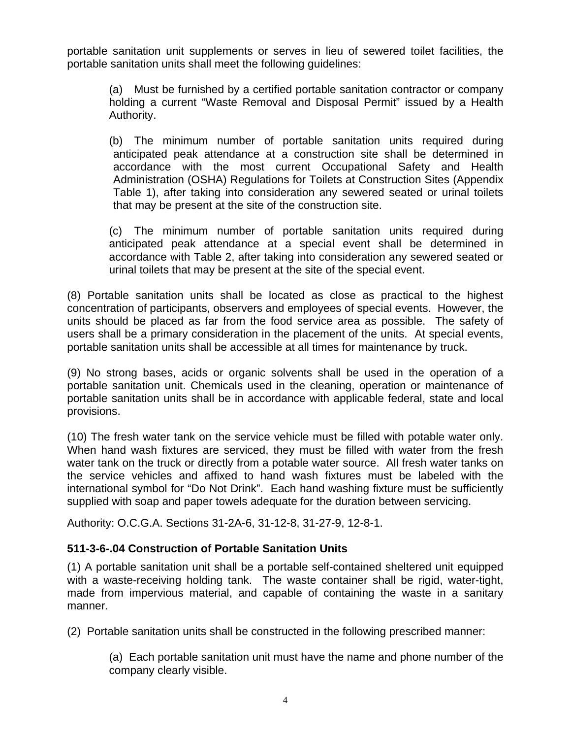portable sanitation unit supplements or serves in lieu of sewered toilet facilities, the portable sanitation units shall meet the following guidelines:

(a) Must be furnished by a certified portable sanitation contractor or company holding a current "Waste Removal and Disposal Permit" issued by a Health Authority.

(b) The minimum number of portable sanitation units required during anticipated peak attendance at a construction site shall be determined in accordance with the most current Occupational Safety and Health Administration (OSHA) Regulations for Toilets at Construction Sites (Appendix Table 1), after taking into consideration any sewered seated or urinal toilets that may be present at the site of the construction site.

(c) The minimum number of portable sanitation units required during anticipated peak attendance at a special event shall be determined in accordance with Table 2, after taking into consideration any sewered seated or urinal toilets that may be present at the site of the special event.

(8) Portable sanitation units shall be located as close as practical to the highest concentration of participants, observers and employees of special events. However, the units should be placed as far from the food service area as possible. The safety of users shall be a primary consideration in the placement of the units. At special events, portable sanitation units shall be accessible at all times for maintenance by truck.

(9) No strong bases, acids or organic solvents shall be used in the operation of a portable sanitation unit. Chemicals used in the cleaning, operation or maintenance of portable sanitation units shall be in accordance with applicable federal, state and local provisions.

(10) The fresh water tank on the service vehicle must be filled with potable water only. When hand wash fixtures are serviced, they must be filled with water from the fresh water tank on the truck or directly from a potable water source. All fresh water tanks on the service vehicles and affixed to hand wash fixtures must be labeled with the international symbol for "Do Not Drink". Each hand washing fixture must be sufficiently supplied with soap and paper towels adequate for the duration between servicing.

Authority: O.C.G.A. Sections 31-2A-6, 31-12-8, 31-27-9, 12-8-1.

## **511-3-6-.04 Construction of Portable Sanitation Units**

(1) A portable sanitation unit shall be a portable self-contained sheltered unit equipped with a waste-receiving holding tank. The waste container shall be rigid, water-tight, made from impervious material, and capable of containing the waste in a sanitary manner.

(2) Portable sanitation units shall be constructed in the following prescribed manner:

(a) Each portable sanitation unit must have the name and phone number of the company clearly visible.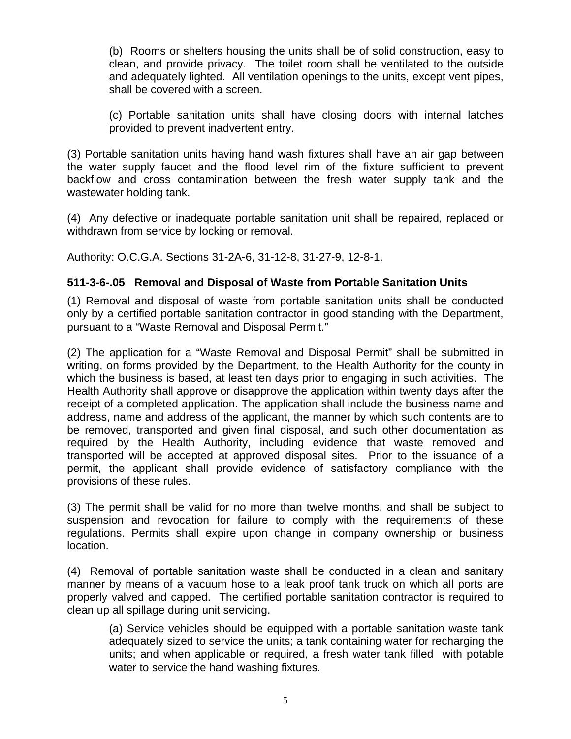(b) Rooms or shelters housing the units shall be of solid construction, easy to clean, and provide privacy. The toilet room shall be ventilated to the outside and adequately lighted. All ventilation openings to the units, except vent pipes, shall be covered with a screen.

(c) Portable sanitation units shall have closing doors with internal latches provided to prevent inadvertent entry.

(3) Portable sanitation units having hand wash fixtures shall have an air gap between the water supply faucet and the flood level rim of the fixture sufficient to prevent backflow and cross contamination between the fresh water supply tank and the wastewater holding tank.

(4) Any defective or inadequate portable sanitation unit shall be repaired, replaced or withdrawn from service by locking or removal.

Authority: O.C.G.A. Sections 31-2A-6, 31-12-8, 31-27-9, 12-8-1.

## **511-3-6-.05 Removal and Disposal of Waste from Portable Sanitation Units**

(1) Removal and disposal of waste from portable sanitation units shall be conducted only by a certified portable sanitation contractor in good standing with the Department, pursuant to a "Waste Removal and Disposal Permit."

(2) The application for a "Waste Removal and Disposal Permit" shall be submitted in writing, on forms provided by the Department, to the Health Authority for the county in which the business is based, at least ten days prior to engaging in such activities. The Health Authority shall approve or disapprove the application within twenty days after the receipt of a completed application. The application shall include the business name and address, name and address of the applicant, the manner by which such contents are to be removed, transported and given final disposal, and such other documentation as required by the Health Authority, including evidence that waste removed and transported will be accepted at approved disposal sites. Prior to the issuance of a permit, the applicant shall provide evidence of satisfactory compliance with the provisions of these rules.

(3) The permit shall be valid for no more than twelve months, and shall be subject to suspension and revocation for failure to comply with the requirements of these regulations. Permits shall expire upon change in company ownership or business location.

(4) Removal of portable sanitation waste shall be conducted in a clean and sanitary manner by means of a vacuum hose to a leak proof tank truck on which all ports are properly valved and capped. The certified portable sanitation contractor is required to clean up all spillage during unit servicing.

(a) Service vehicles should be equipped with a portable sanitation waste tank adequately sized to service the units; a tank containing water for recharging the units; and when applicable or required, a fresh water tank filled with potable water to service the hand washing fixtures.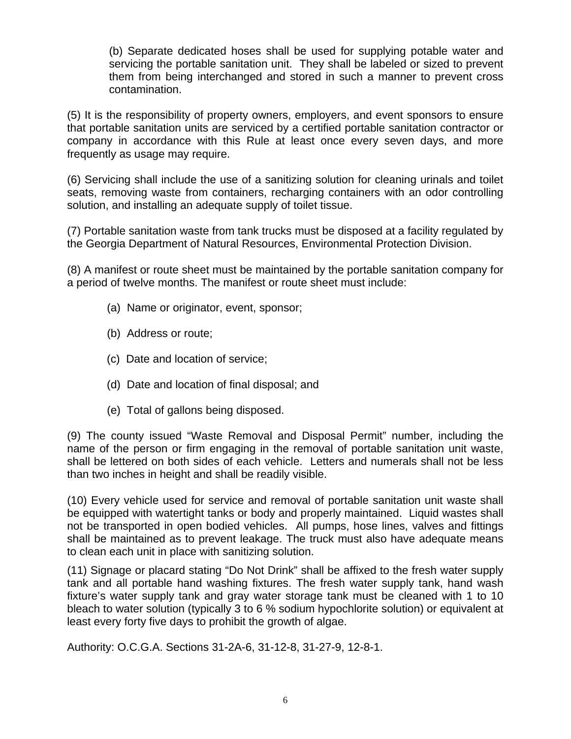(b) Separate dedicated hoses shall be used for supplying potable water and servicing the portable sanitation unit. They shall be labeled or sized to prevent them from being interchanged and stored in such a manner to prevent cross contamination.

(5) It is the responsibility of property owners, employers, and event sponsors to ensure that portable sanitation units are serviced by a certified portable sanitation contractor or company in accordance with this Rule at least once every seven days, and more frequently as usage may require.

(6) Servicing shall include the use of a sanitizing solution for cleaning urinals and toilet seats, removing waste from containers, recharging containers with an odor controlling solution, and installing an adequate supply of toilet tissue.

(7) Portable sanitation waste from tank trucks must be disposed at a facility regulated by the Georgia Department of Natural Resources, Environmental Protection Division.

(8) A manifest or route sheet must be maintained by the portable sanitation company for a period of twelve months. The manifest or route sheet must include:

- (a) Name or originator, event, sponsor;
- (b) Address or route;
- (c) Date and location of service;
- (d) Date and location of final disposal; and
- (e) Total of gallons being disposed.

(9) The county issued "Waste Removal and Disposal Permit" number, including the name of the person or firm engaging in the removal of portable sanitation unit waste, shall be lettered on both sides of each vehicle. Letters and numerals shall not be less than two inches in height and shall be readily visible.

(10) Every vehicle used for service and removal of portable sanitation unit waste shall be equipped with watertight tanks or body and properly maintained. Liquid wastes shall not be transported in open bodied vehicles. All pumps, hose lines, valves and fittings shall be maintained as to prevent leakage. The truck must also have adequate means to clean each unit in place with sanitizing solution.

(11) Signage or placard stating "Do Not Drink" shall be affixed to the fresh water supply tank and all portable hand washing fixtures. The fresh water supply tank, hand wash fixture's water supply tank and gray water storage tank must be cleaned with 1 to 10 bleach to water solution (typically 3 to 6 % sodium hypochlorite solution) or equivalent at least every forty five days to prohibit the growth of algae.

Authority: O.C.G.A. Sections 31-2A-6, 31-12-8, 31-27-9, 12-8-1.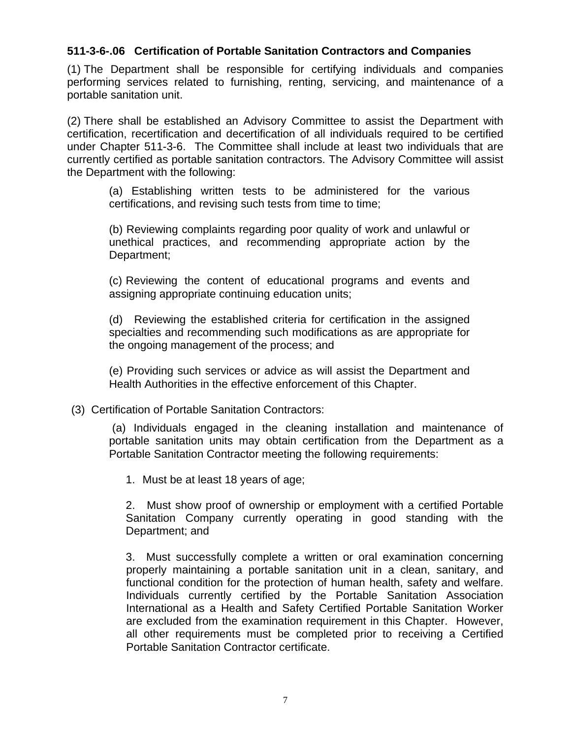### **511-3-6-.06 Certification of Portable Sanitation Contractors and Companies**

(1) The Department shall be responsible for certifying individuals and companies performing services related to furnishing, renting, servicing, and maintenance of a portable sanitation unit.

(2) There shall be established an Advisory Committee to assist the Department with certification, recertification and decertification of all individuals required to be certified under Chapter 511-3-6. The Committee shall include at least two individuals that are currently certified as portable sanitation contractors. The Advisory Committee will assist the Department with the following:

(a) Establishing written tests to be administered for the various certifications, and revising such tests from time to time;

(b) Reviewing complaints regarding poor quality of work and unlawful or unethical practices, and recommending appropriate action by the Department;

(c) Reviewing the content of educational programs and events and assigning appropriate continuing education units;

(d) Reviewing the established criteria for certification in the assigned specialties and recommending such modifications as are appropriate for the ongoing management of the process; and

(e) Providing such services or advice as will assist the Department and Health Authorities in the effective enforcement of this Chapter.

#### (3) Certification of Portable Sanitation Contractors:

 (a) Individuals engaged in the cleaning installation and maintenance of portable sanitation units may obtain certification from the Department as a Portable Sanitation Contractor meeting the following requirements:

1. Must be at least 18 years of age;

2. Must show proof of ownership or employment with a certified Portable Sanitation Company currently operating in good standing with the Department; and

3. Must successfully complete a written or oral examination concerning properly maintaining a portable sanitation unit in a clean, sanitary, and functional condition for the protection of human health, safety and welfare. Individuals currently certified by the Portable Sanitation Association International as a Health and Safety Certified Portable Sanitation Worker are excluded from the examination requirement in this Chapter. However, all other requirements must be completed prior to receiving a Certified Portable Sanitation Contractor certificate.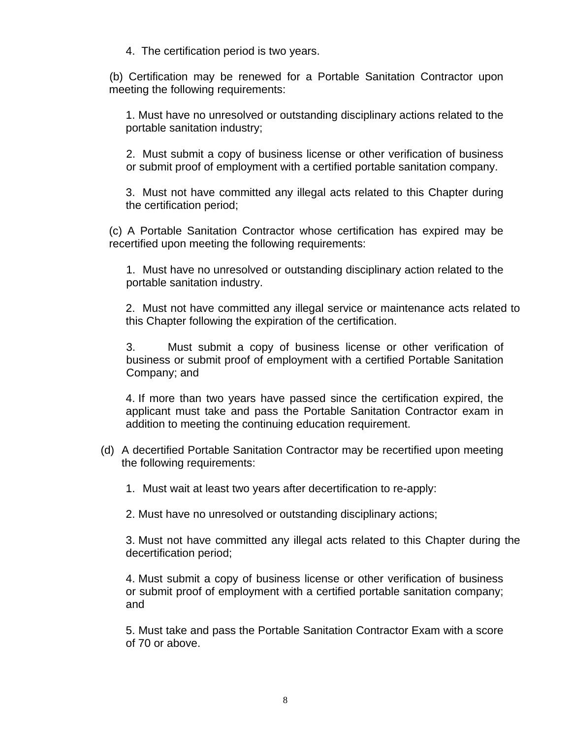4. The certification period is two years.

(b) Certification may be renewed for a Portable Sanitation Contractor upon meeting the following requirements:

1. Must have no unresolved or outstanding disciplinary actions related to the portable sanitation industry;

2. Must submit a copy of business license or other verification of business or submit proof of employment with a certified portable sanitation company.

3. Must not have committed any illegal acts related to this Chapter during the certification period;

(c) A Portable Sanitation Contractor whose certification has expired may be recertified upon meeting the following requirements:

1. Must have no unresolved or outstanding disciplinary action related to the portable sanitation industry.

2. Must not have committed any illegal service or maintenance acts related to this Chapter following the expiration of the certification.

3. Must submit a copy of business license or other verification of business or submit proof of employment with a certified Portable Sanitation Company; and

4. If more than two years have passed since the certification expired, the applicant must take and pass the Portable Sanitation Contractor exam in addition to meeting the continuing education requirement.

- (d) A decertified Portable Sanitation Contractor may be recertified upon meeting the following requirements:
	- 1. Must wait at least two years after decertification to re-apply:

2. Must have no unresolved or outstanding disciplinary actions;

3. Must not have committed any illegal acts related to this Chapter during the decertification period;

4. Must submit a copy of business license or other verification of business or submit proof of employment with a certified portable sanitation company; and

5. Must take and pass the Portable Sanitation Contractor Exam with a score of 70 or above.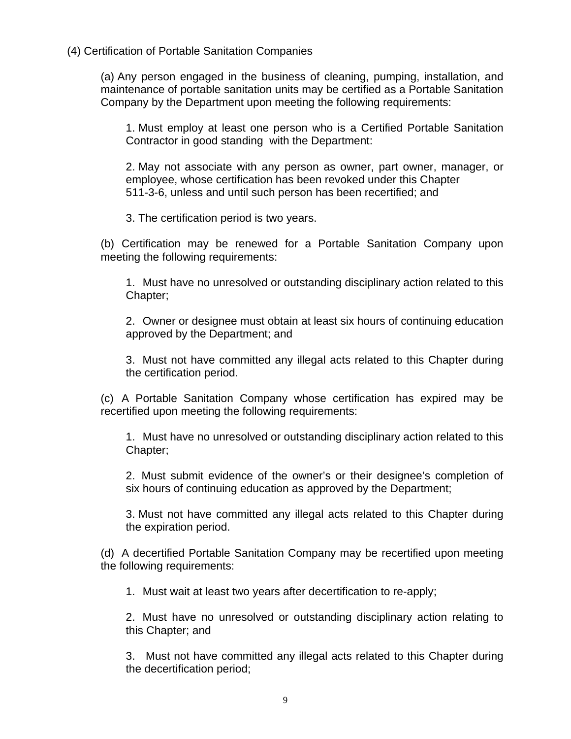(4) Certification of Portable Sanitation Companies

(a) Any person engaged in the business of cleaning, pumping, installation, and maintenance of portable sanitation units may be certified as a Portable Sanitation Company by the Department upon meeting the following requirements:

1. Must employ at least one person who is a Certified Portable Sanitation Contractor in good standing with the Department:

2. May not associate with any person as owner, part owner, manager, or employee, whose certification has been revoked under this Chapter 511-3-6, unless and until such person has been recertified; and

3. The certification period is two years.

(b) Certification may be renewed for a Portable Sanitation Company upon meeting the following requirements:

1. Must have no unresolved or outstanding disciplinary action related to this Chapter;

2. Owner or designee must obtain at least six hours of continuing education approved by the Department; and

3. Must not have committed any illegal acts related to this Chapter during the certification period.

(c) A Portable Sanitation Company whose certification has expired may be recertified upon meeting the following requirements:

1. Must have no unresolved or outstanding disciplinary action related to this Chapter;

2. Must submit evidence of the owner's or their designee's completion of six hours of continuing education as approved by the Department;

3. Must not have committed any illegal acts related to this Chapter during the expiration period.

(d) A decertified Portable Sanitation Company may be recertified upon meeting the following requirements:

1. Must wait at least two years after decertification to re-apply;

2. Must have no unresolved or outstanding disciplinary action relating to this Chapter; and

3. Must not have committed any illegal acts related to this Chapter during the decertification period;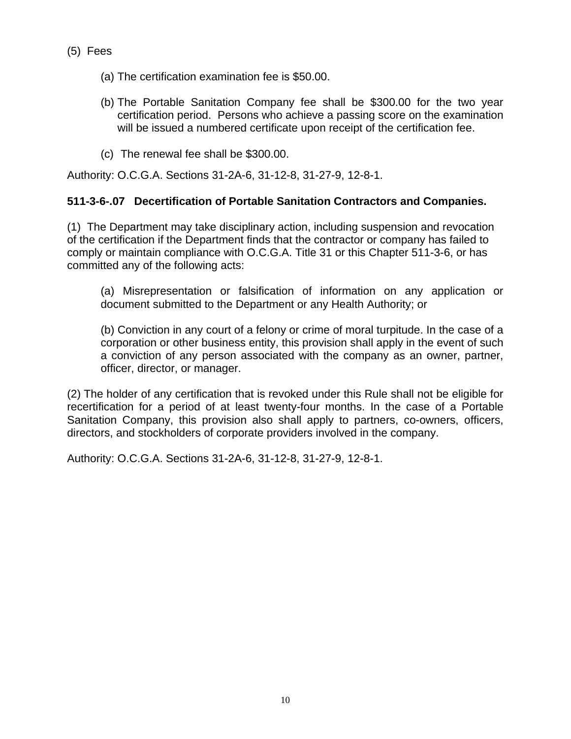- (5) Fees
	- (a) The certification examination fee is \$50.00.
	- (b) The Portable Sanitation Company fee shall be \$300.00 for the two year certification period. Persons who achieve a passing score on the examination will be issued a numbered certificate upon receipt of the certification fee.
	- (c) The renewal fee shall be \$300.00.

Authority: O.C.G.A. Sections 31-2A-6, 31-12-8, 31-27-9, 12-8-1.

## **511-3-6-.07 Decertification of Portable Sanitation Contractors and Companies.**

(1) The Department may take disciplinary action, including suspension and revocation of the certification if the Department finds that the contractor or company has failed to comply or maintain compliance with O.C.G.A. Title 31 or this Chapter 511-3-6, or has committed any of the following acts:

(a) Misrepresentation or falsification of information on any application or document submitted to the Department or any Health Authority; or

(b) Conviction in any court of a felony or crime of moral turpitude. In the case of a corporation or other business entity, this provision shall apply in the event of such a conviction of any person associated with the company as an owner, partner, officer, director, or manager.

(2) The holder of any certification that is revoked under this Rule shall not be eligible for recertification for a period of at least twenty-four months. In the case of a Portable Sanitation Company, this provision also shall apply to partners, co-owners, officers, directors, and stockholders of corporate providers involved in the company.

Authority: O.C.G.A. Sections 31-2A-6, 31-12-8, 31-27-9, 12-8-1.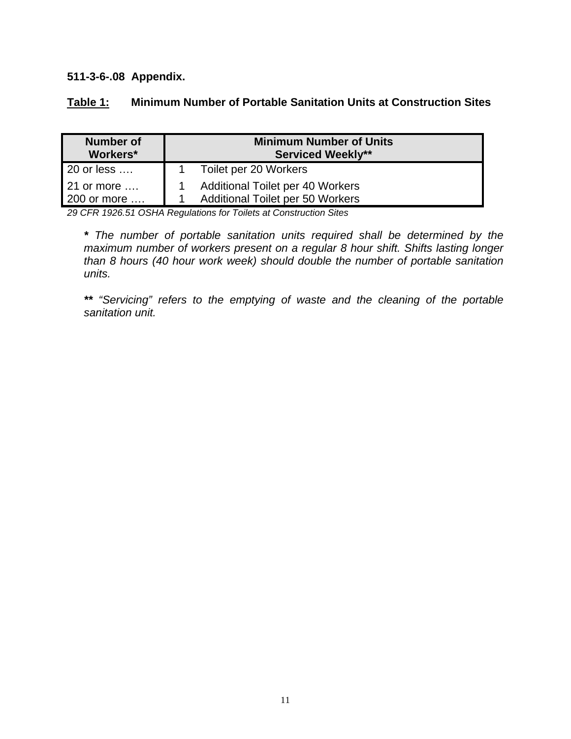**511-3-6-.08 Appendix.** 

| <b>Number of</b><br>Workers* | <b>Minimum Number of Units</b><br><b>Serviced Weekly**</b> |  |  |  |  |
|------------------------------|------------------------------------------------------------|--|--|--|--|
| 20 or less                   | Toilet per 20 Workers                                      |  |  |  |  |
| 21 or more                   | Additional Toilet per 40 Workers                           |  |  |  |  |
| 200 or more                  | <b>Additional Toilet per 50 Workers</b>                    |  |  |  |  |

*29 CFR 1926.51 OSHA Regulations for Toilets at Construction Sites* 

*\* The number of portable sanitation units required shall be determined by the maximum number of workers present on a regular 8 hour shift. Shifts lasting longer than 8 hours (40 hour work week) should double the number of portable sanitation units.* 

*\*\* "Servicing" refers to the emptying of waste and the cleaning of the portable sanitation unit.*